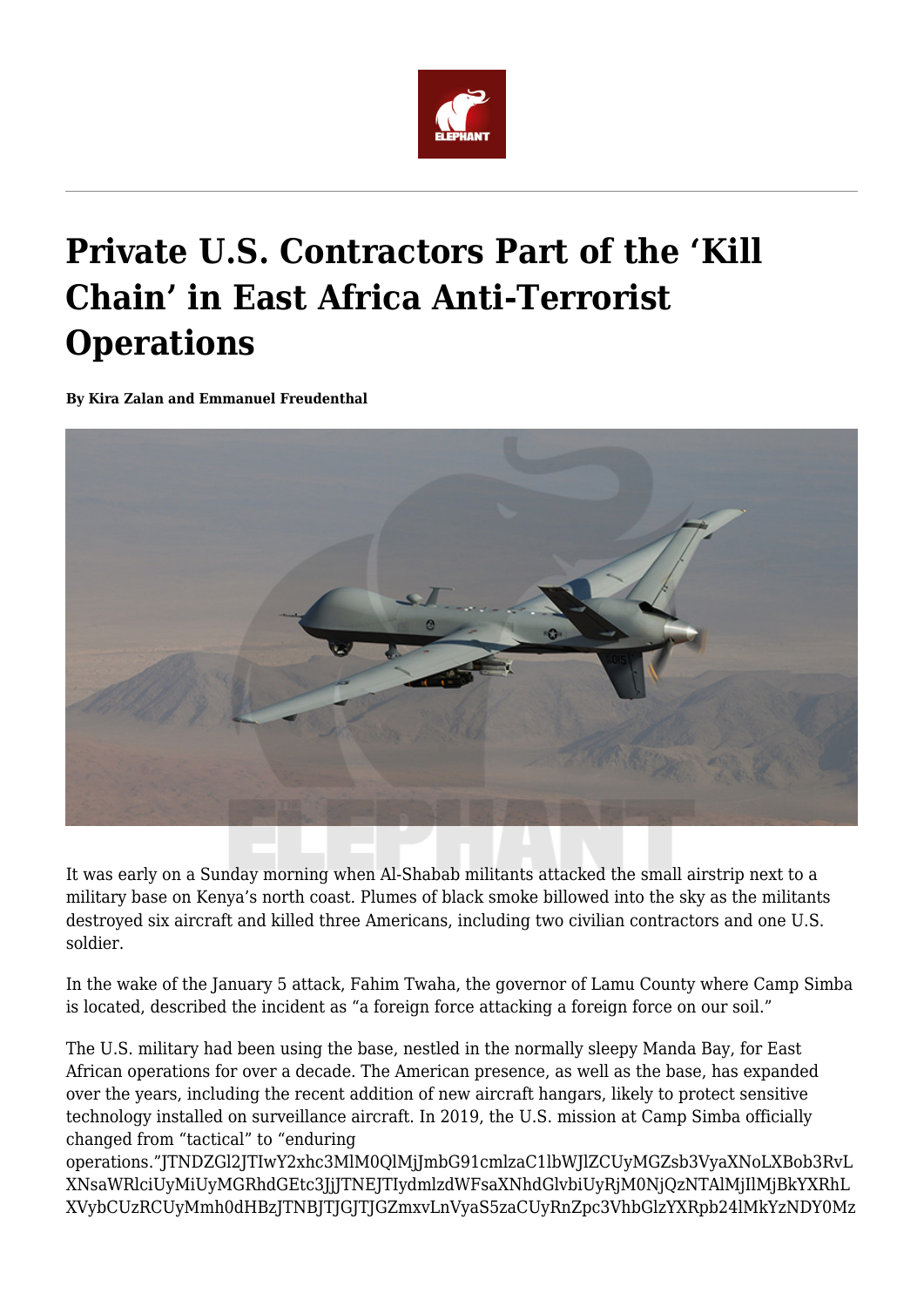

# **Private U.S. Contractors Part of the 'Kill Chain' in East Africa Anti-Terrorist Operations**

**By Kira Zalan and Emmanuel Freudenthal**



It was early on a Sunday morning when Al-Shabab militants attacked the small airstrip next to a military base on Kenya's north coast. Plumes of black smoke billowed into the sky as the militants destroyed six aircraft and killed three Americans, including two civilian contractors and one U.S. soldier.

In the wake of the January 5 attack, Fahim Twaha, the governor of Lamu County where Camp Simba is located, described the incident as "a foreign force attacking a foreign force on our soil."

The U.S. military had been using the base, nestled in the normally sleepy Manda Bay, for East African operations for over a decade. The American presence, as well as the base, has expanded over the years, including the recent addition of new aircraft hangars, likely to protect sensitive technology installed on surveillance aircraft. In 2019, the U.S. mission at Camp Simba officially changed from "tactical" to "enduring

operations."JTNDZGl2JTIwY2xhc3MlM0QlMjJmbG91cmlzaC1lbWJlZCUyMGZsb3VyaXNoLXBob3RvL XNsaWRlciUyMiUyMGRhdGEtc3JjJTNEJTIydmlzdWFsaXNhdGlvbiUyRjM0NjQzNTAlMjIlMjBkYXRhL XVybCUzRCUyMmh0dHBzJTNBJTJGJTJGZmxvLnVyaS5zaCUyRnZpc3VhbGlzYXRpb24lMkYzNDY0Mz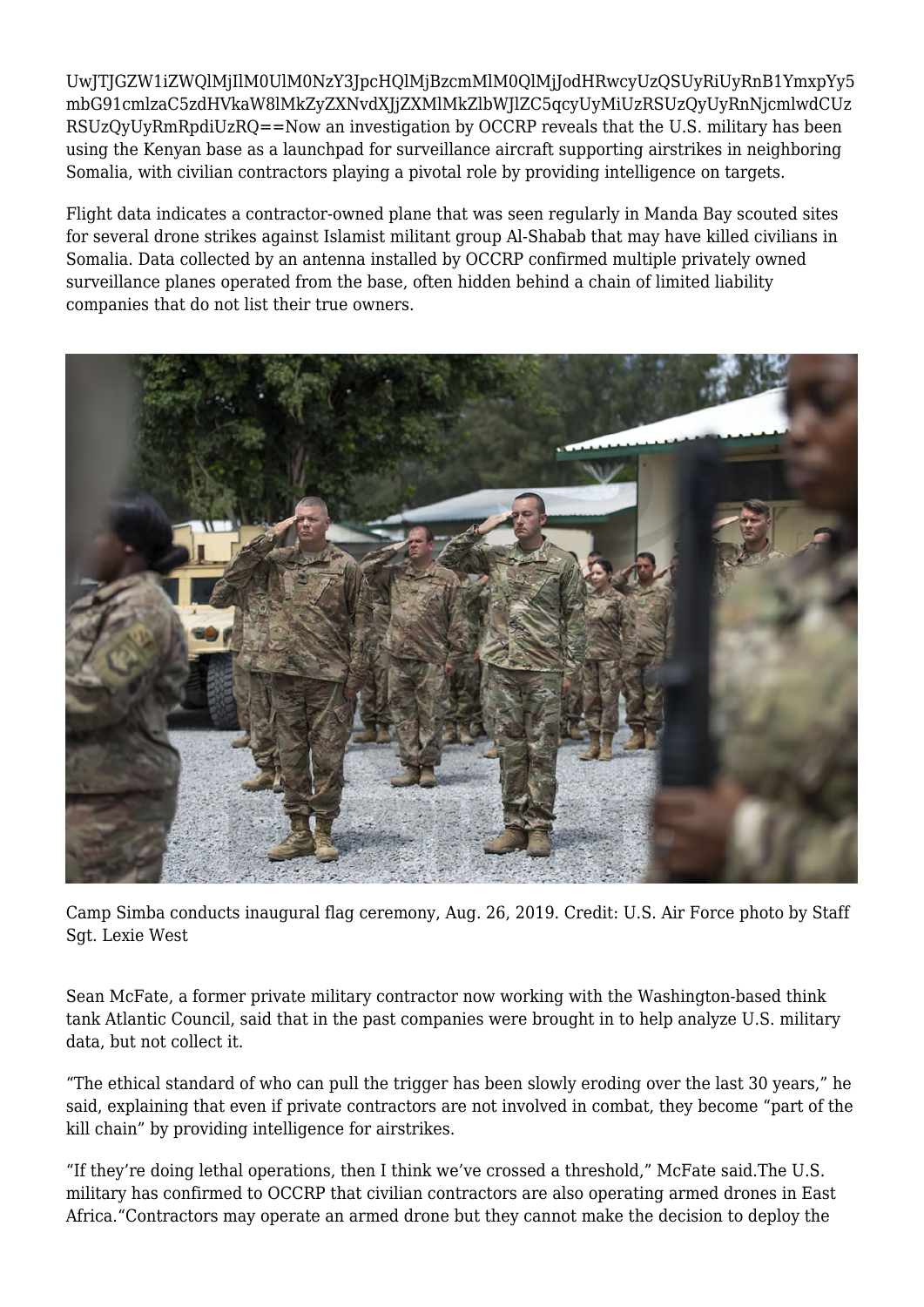UwJTJGZW1iZWQlMjIlM0UlM0NzY3JpcHQlMjBzcmMlM0QlMjJodHRwcyUzQSUyRiUyRnB1YmxpYy5 mbG91cmlzaC5zdHVkaW8lMkZyZXNvdXJjZXMlMkZlbWJlZC5qcyUyMiUzRSUzQyUyRnNjcmlwdCUz RSUzQyUyRmRpdiUzRQ==Now an investigation by OCCRP reveals that the U.S. military has been using the Kenyan base as a launchpad for surveillance aircraft supporting airstrikes in neighboring Somalia, with civilian contractors playing a pivotal role by providing intelligence on targets.

Flight data indicates a contractor-owned plane that was seen regularly in Manda Bay scouted sites for several drone strikes against Islamist militant group Al-Shabab that may have killed civilians in Somalia. Data collected by an antenna installed by OCCRP confirmed multiple privately owned surveillance planes operated from the base, often hidden behind a chain of limited liability companies that do not list their true owners.



Camp Simba conducts inaugural flag ceremony, Aug. 26, 2019. Credit: U.S. Air Force photo by Staff Sgt. Lexie West

Sean McFate, a former private military contractor now working with the Washington-based think tank Atlantic Council, said that in the past companies were brought in to help analyze U.S. military data, but not collect it.

"The ethical standard of who can pull the trigger has been slowly eroding over the last 30 years," he said, explaining that even if private contractors are not involved in combat, they become "part of the kill chain" by providing intelligence for airstrikes.

"If they're doing lethal operations, then I think we've crossed a threshold," McFate said.The U.S. military has confirmed to OCCRP that civilian contractors are also operating armed drones in East Africa."Contractors may operate an armed drone but they cannot make the decision to deploy the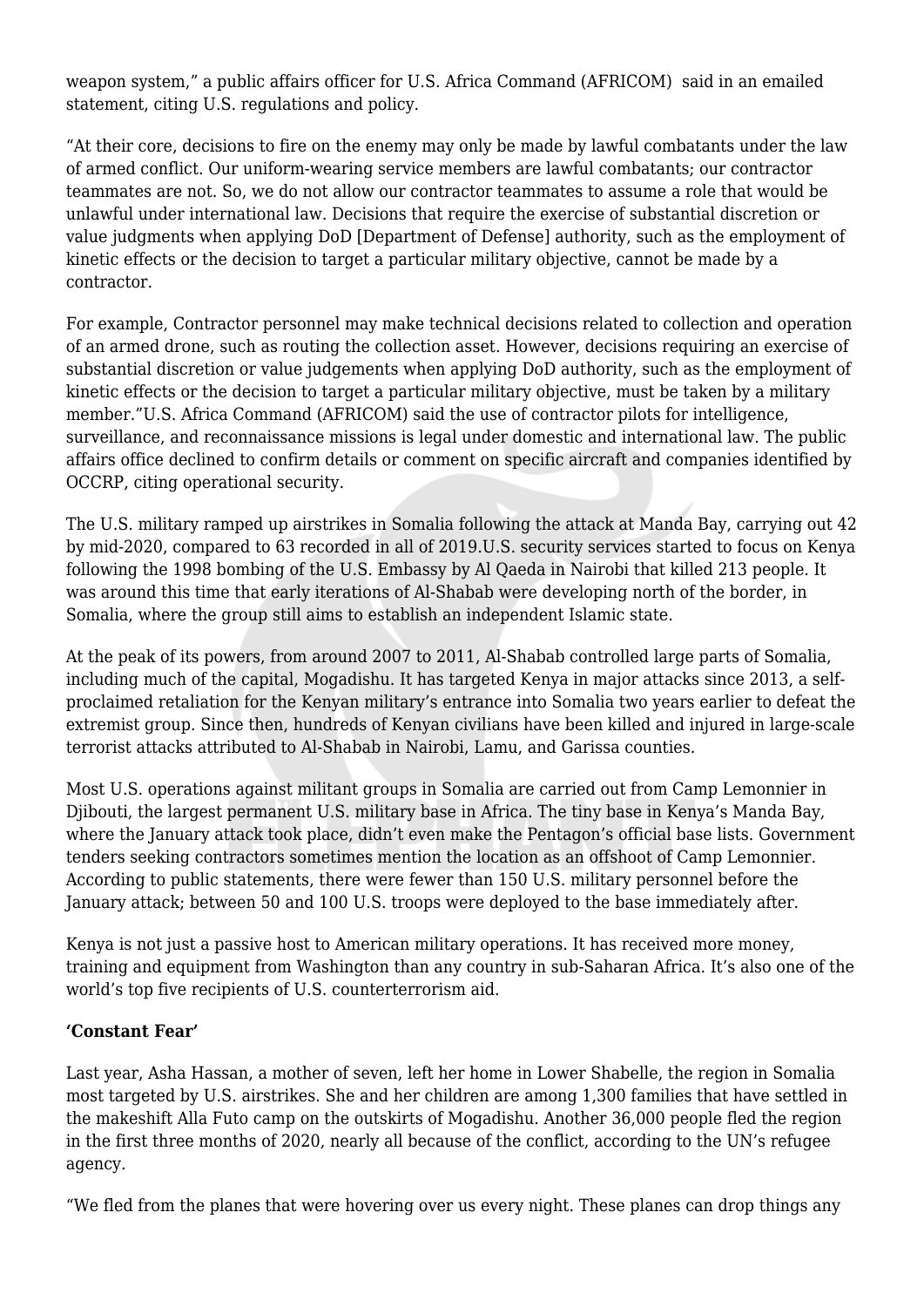weapon system," a public affairs officer for U.S. Africa Command (AFRICOM) said in an emailed statement, citing U.S. regulations and policy.

"At their core, decisions to fire on the enemy may only be made by lawful combatants under the law of armed conflict. Our uniform-wearing service members are lawful combatants; our contractor teammates are not. So, we do not allow our contractor teammates to assume a role that would be unlawful under international law. Decisions that require the exercise of substantial discretion or value judgments when applying DoD [Department of Defense] authority, such as the employment of kinetic effects or the decision to target a particular military objective, cannot be made by a contractor.

For example, Contractor personnel may make technical decisions related to collection and operation of an armed drone, such as routing the collection asset. However, decisions requiring an exercise of substantial discretion or value judgements when applying DoD authority, such as the employment of kinetic effects or the decision to target a particular military objective, must be taken by a military member."U.S. Africa Command (AFRICOM) said the use of contractor pilots for intelligence, surveillance, and reconnaissance missions is legal under domestic and international law. The public affairs office declined to confirm details or comment on specific aircraft and companies identified by OCCRP, citing operational security.

The U.S. military ramped up airstrikes in Somalia following the attack at Manda Bay, carrying out 42 by mid-2020, compared to 63 recorded in all of 2019.U.S. security services started to focus on Kenya following the 1998 bombing of the U.S. Embassy by Al Qaeda in Nairobi that killed 213 people. It was around this time that early iterations of Al-Shabab were developing north of the border, in Somalia, where the group still aims to establish an independent Islamic state.

At the peak of its powers, from around 2007 to 2011, Al-Shabab controlled large parts of Somalia, including much of the capital, Mogadishu. It has targeted Kenya in major attacks since 2013, a selfproclaimed retaliation for the Kenyan military's entrance into Somalia two years earlier to defeat the extremist group. Since then, hundreds of Kenyan civilians have been killed and injured in large-scale terrorist attacks attributed to Al-Shabab in Nairobi, Lamu, and Garissa counties.

Most U.S. operations against militant groups in Somalia are carried out from Camp Lemonnier in Djibouti, the largest permanent U.S. military base in Africa. The tiny base in Kenya's Manda Bay, where the January attack took place, didn't even make the Pentagon's official base lists. Government tenders seeking contractors sometimes mention the location as an offshoot of Camp Lemonnier. According to public statements, there were fewer than 150 U.S. military personnel before the January attack; between 50 and 100 U.S. troops were deployed to the base immediately after.

Kenya is not just a passive host to American military operations. It has received more money, training and equipment from Washington than any country in sub-Saharan Africa. It's also one of the world's top five recipients of U.S. counterterrorism aid.

## **'Constant Fear'**

Last year, Asha Hassan, a mother of seven, left her home in Lower Shabelle, the region in Somalia most targeted by U.S. airstrikes. She and her children are among 1,300 families that have settled in the makeshift Alla Futo camp on the outskirts of Mogadishu. Another 36,000 people fled the region in the first three months of 2020, nearly all because of the conflict, according to the UN's refugee agency.

"We fled from the planes that were hovering over us every night. These planes can drop things any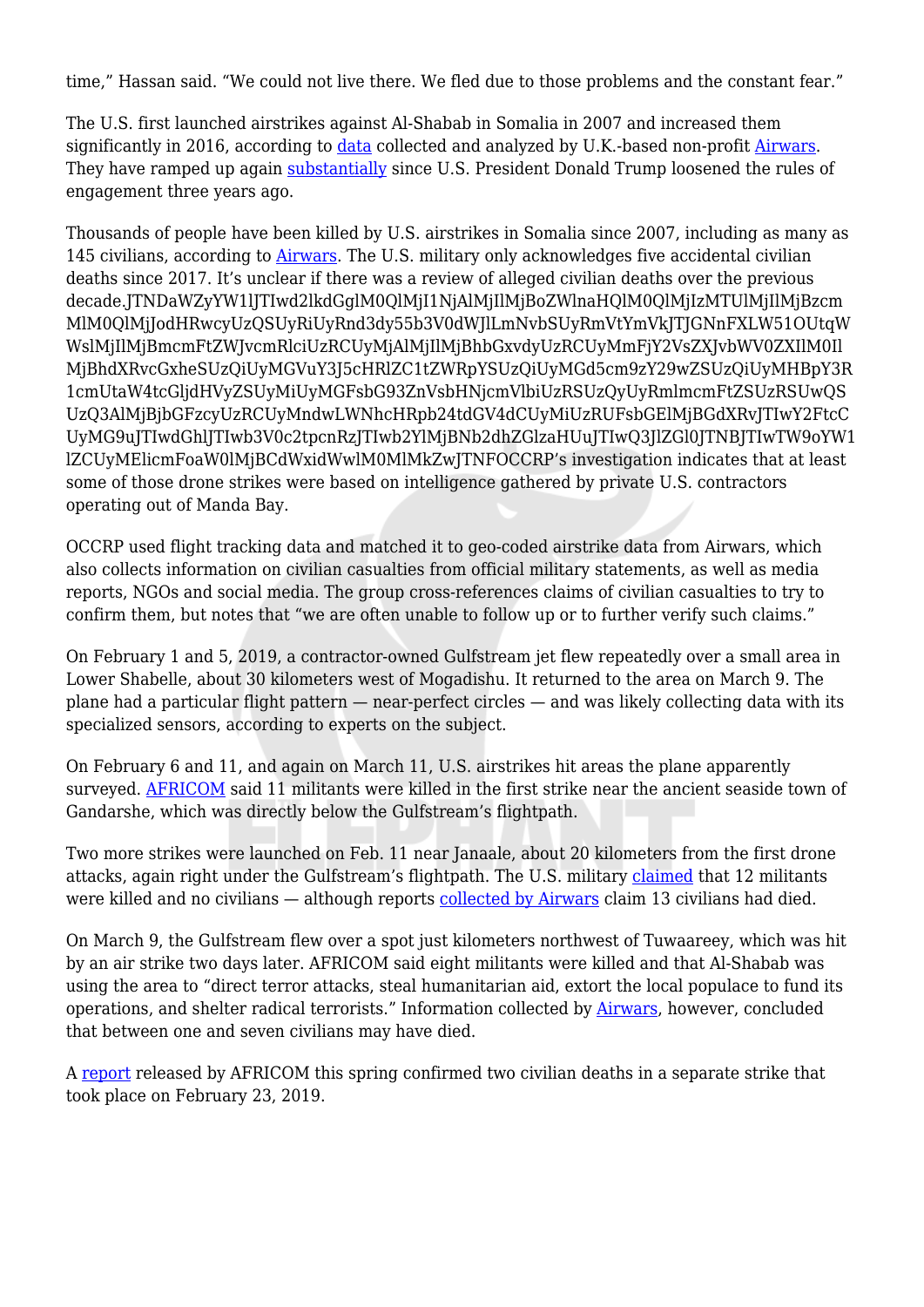time," Hassan said. "We could not live there. We fled due to those problems and the constant fear."

The U.S. first launched airstrikes against Al-Shabab in Somalia in 2007 and increased them significantly in 2016, according to [data](https://airwars.org/conflict/us-forces-in-somalia/) collected and analyzed by U.K.-based non-profit [Airwars.](https://airwars.org/) They have ramped up again [substantially](https://airwars.org/conflict/us-forces-in-somalia/) since U.S. President Donald Trump loosened the rules of engagement three years ago.

Thousands of people have been killed by U.S. airstrikes in Somalia since 2007, including as many as 145 civilians, according to [Airwars](https://airwars.org/conflict/us-forces-in-somalia/). The U.S. military only acknowledges five accidental civilian deaths since 2017. It's unclear if there was a review of alleged civilian deaths over the previous decade.JTNDaWZyYW1lJTIwd2lkdGglM0QlMjI1NjAlMjIlMjBoZWlnaHQlM0QlMjIzMTUlMjIlMjBzcm MlM0QlMjJodHRwcyUzQSUyRiUyRnd3dy55b3V0dWJlLmNvbSUyRmVtYmVkJTJGNnFXLW51OUtqW WslMjIlMjBmcmFtZWJvcmRlciUzRCUyMjAlMjIlMjBhbGxvdyUzRCUyMmFjY2VsZXJvbWV0ZXIlM0Il MjBhdXRvcGxheSUzQiUyMGVuY3J5cHRlZC1tZWRpYSUzQiUyMGd5cm9zY29wZSUzQiUyMHBpY3R 1cmUtaW4tcGljdHVyZSUyMiUyMGFsbG93ZnVsbHNjcmVlbiUzRSUzQyUyRmlmcmFtZSUzRSUwQS UzQ3AlMjBjbGFzcyUzRCUyMndwLWNhcHRpb24tdGV4dCUyMiUzRUFsbGElMjBGdXRvJTIwY2FtcC UyMG9uJTIwdGhlJTIwb3V0c2tpcnRzJTIwb2YlMjBNb2dhZGlzaHUuJTIwQ3JlZGl0JTNBJTIwTW9oYW1 lZCUyMElicmFoaW0lMjBCdWxidWwlM0MlMkZwJTNFOCCRP's investigation indicates that at least some of those drone strikes were based on intelligence gathered by private U.S. contractors operating out of Manda Bay.

OCCRP used flight tracking data and matched it to geo-coded airstrike data from Airwars, which also collects information on civilian casualties from official military statements, as well as media reports, NGOs and social media. The group cross-references claims of civilian casualties to try to confirm them, but notes that "we are often unable to follow up or to further verify such claims."

On February 1 and 5, 2019, a contractor-owned Gulfstream jet flew repeatedly over a small area in Lower Shabelle, about 30 kilometers west of Mogadishu. It returned to the area on March 9. The plane had a particular flight pattern — near-perfect circles — and was likely collecting data with its specialized sensors, according to experts on the subject.

On February 6 and 11, and again on March 11, U.S. airstrikes hit areas the plane apparently surveyed. [AFRICOM](https://archive.fo/qzDsS) said 11 militants were killed in the first strike near the ancient seaside town of Gandarshe, which was directly below the Gulfstream's flightpath.

Two more strikes were launched on Feb. 11 near Janaale, about 20 kilometers from the first drone attacks, again right under the Gulfstream's flightpath. The U.S. military [claimed](https://www.africom.mil/pressrelease/31509/al-shabaab-degraded-by-u-s-federal-government-of-somalia) that 12 militants were killed and no civilians — although reports [collected by Airwars](https://airwars.org/civilian-casualties/ussom194-c-february-11-2019/) claim 13 civilians had died.

On March 9, the Gulfstream flew over a spot just kilometers northwest of Tuwaareey, which was hit by an air strike two days later. AFRICOM said eight militants were killed and that Al-Shabab was using the area to "direct terror attacks, steal humanitarian aid, extort the local populace to fund its operations, and shelter radical terrorists." Information collected by [Airwars,](https://airwars.org/civilian-casualties/ussom205-c-march-11-2019/) however, concluded that between one and seven civilians may have died.

A [report](https://www.africom.mil/pressrelease/32740/initial-africom-civilian-casualty-assessment) released by AFRICOM this spring confirmed two civilian deaths in a separate strike that took place on February 23, 2019.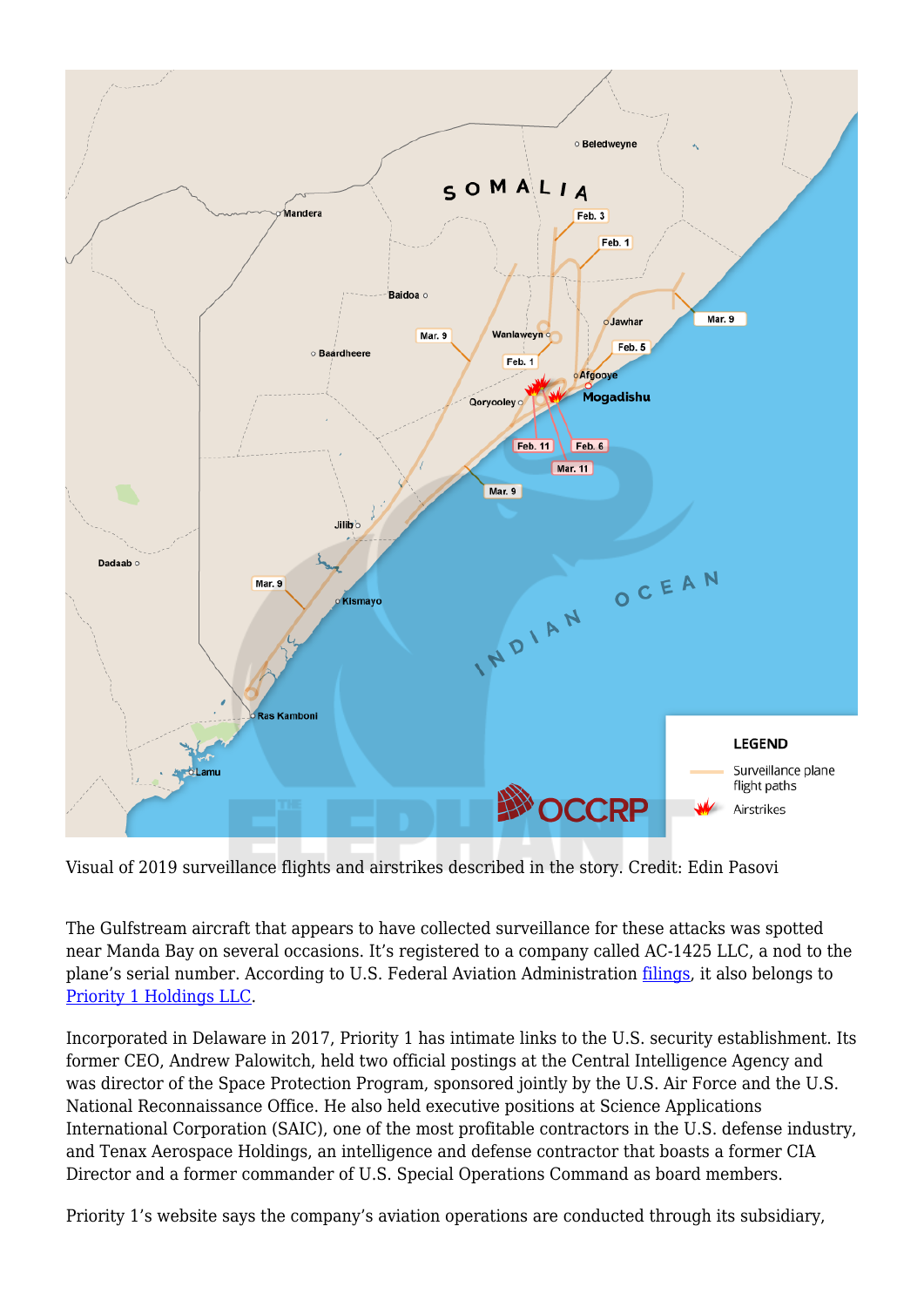

Visual of 2019 surveillance flights and airstrikes described in the story. Credit: Edin Pasovi

The Gulfstream aircraft that appears to have collected surveillance for these attacks was spotted near Manda Bay on several occasions. It's registered to a company called AC-1425 LLC, a nod to the plane's serial number. According to U.S. Federal Aviation Administration [filings,](https://www.documentcloud.org/documents/5999738-N51PR-Airworthiness.html#document/p25/a545750) it also belongs to [Priority 1 Holdings LLC](https://www.priority1holdings.com).

Incorporated in Delaware in 2017, Priority 1 has intimate links to the U.S. security establishment. Its former CEO, Andrew Palowitch, held two official postings at the Central Intelligence Agency and was director of the Space Protection Program, sponsored jointly by the U.S. Air Force and the U.S. National Reconnaissance Office. He also held executive positions at Science Applications International Corporation (SAIC), one of the most profitable contractors in the U.S. defense industry, and Tenax Aerospace Holdings, an intelligence and defense contractor that boasts a former CIA Director and a former commander of U.S. Special Operations Command as board members.

Priority 1's website says the company's aviation operations are conducted through its subsidiary,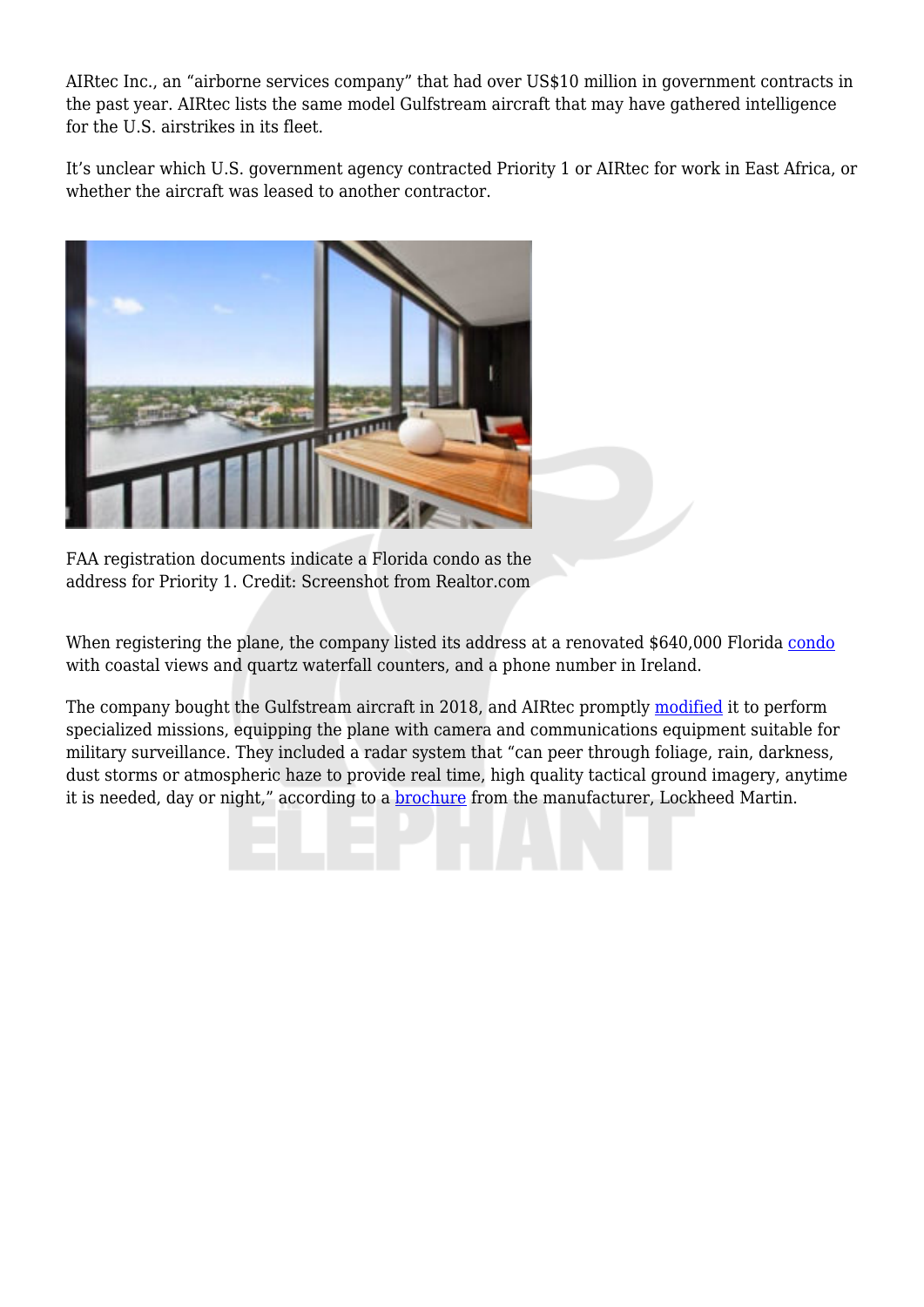AIRtec Inc., an "airborne services company" that had over US\$10 million in government contracts in the past year. AIRtec lists the same model Gulfstream aircraft that may have gathered intelligence for the U.S. airstrikes in its fleet.

It's unclear which U.S. government agency contracted Priority 1 or AIRtec for work in East Africa, or whether the aircraft was leased to another contractor.



FAA registration documents indicate a Florida condo as the address for Priority 1. Credit: Screenshot from Realtor.com

When registering the plane, the company listed its address at a renovated \$640,000 Florida [condo](https://www.realtor.com/realestateandhomes-detail/3420-S-Ocean-Blvd-Apt-10V_Highland-Beach_FL_33487_M68905-55135?fbclid=IwAR0HIDGKqVsEFOEqXWuomVNmEzOHczMnihQhY7R9avmDwMY13C3GAUptUNc#photo31) with coastal views and quartz waterfall counters, and a phone number in Ireland.

The company bought the Gulfstream aircraft in 2018, and AIRtec promptly [modified](https://www.documentcloud.org/documents/5999738-N51PR-Airworthiness.html#document/p27/a543564) it to perform specialized missions, equipping the plane with camera and communications equipment suitable for military surveillance. They included a radar system that "can peer through foliage, rain, darkness, dust storms or atmospheric haze to provide real time, high quality tactical ground imagery, anytime it is needed, day or night," according to a **brochure** from the manufacturer, Lockheed Martin.

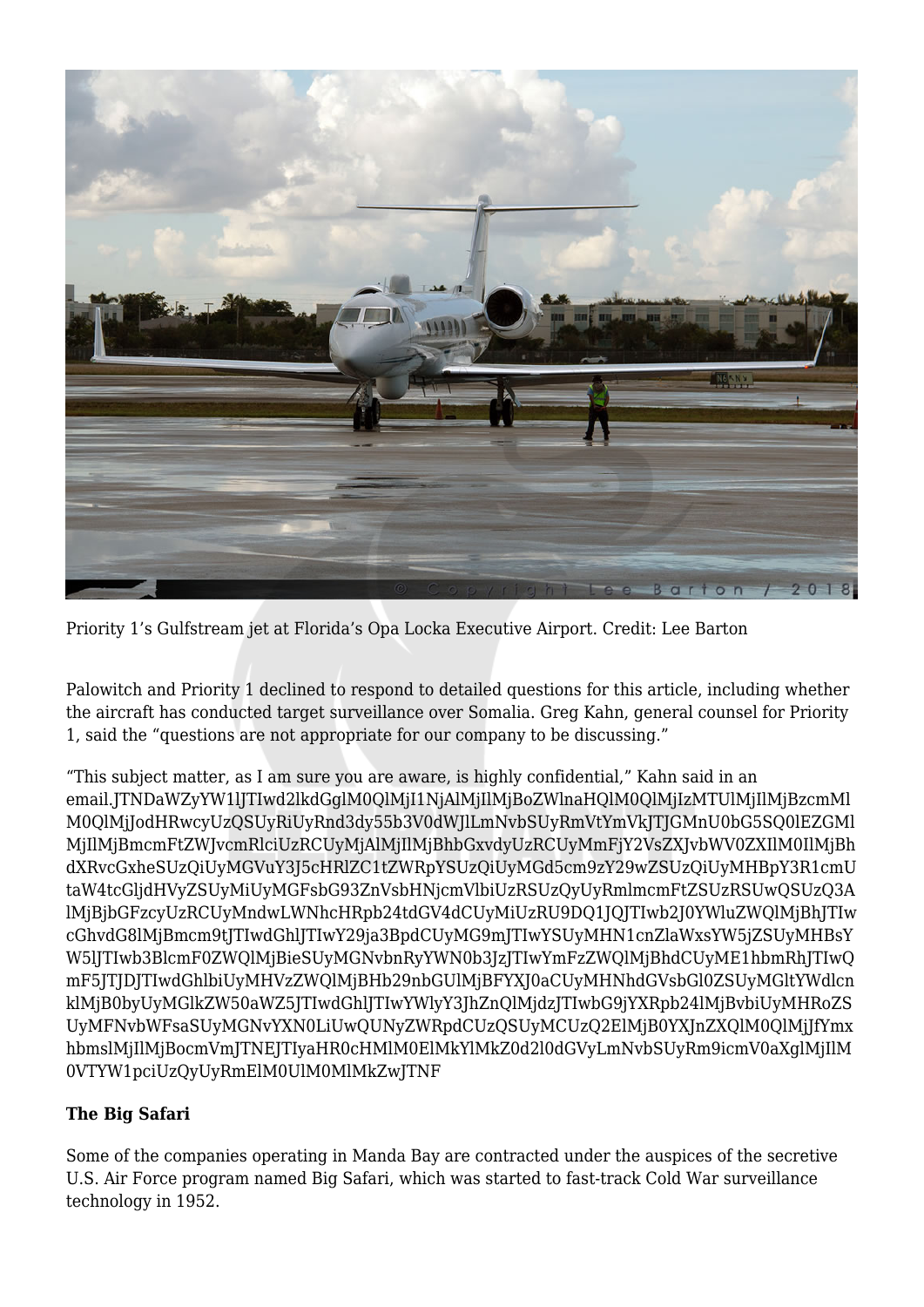

Priority 1's Gulfstream jet at Florida's Opa Locka Executive Airport. Credit: Lee Barton

Palowitch and Priority 1 declined to respond to detailed questions for this article, including whether the aircraft has conducted target surveillance over Somalia. Greg Kahn, general counsel for Priority 1, said the "questions are not appropriate for our company to be discussing."

"This subject matter, as I am sure you are aware, is highly confidential," Kahn said in an email.JTNDaWZyYW1lJTIwd2lkdGglM0QlMjI1NjAlMjIlMjBoZWlnaHQlM0QlMjIzMTUlMjIlMjBzcmMl M0QlMjJodHRwcyUzQSUyRiUyRnd3dy55b3V0dWJlLmNvbSUyRmVtYmVkJTJGMnU0bG5SQ0lEZGMl MjIlMjBmcmFtZWJvcmRlciUzRCUyMjAlMjIlMjBhbGxvdyUzRCUyMmFjY2VsZXJvbWV0ZXIlM0IlMjBh dXRvcGxheSUzQiUyMGVuY3J5cHRlZC1tZWRpYSUzQiUyMGd5cm9zY29wZSUzQiUyMHBpY3R1cmU taW4tcGljdHVyZSUyMiUyMGFsbG93ZnVsbHNjcmVlbiUzRSUzQyUyRmlmcmFtZSUzRSUwQSUzQ3A lMjBjbGFzcyUzRCUyMndwLWNhcHRpb24tdGV4dCUyMiUzRU9DQ1JQJTIwb2J0YWluZWQlMjBhJTIw cGhvdG8lMjBmcm9tJTIwdGhlJTIwY29ja3BpdCUyMG9mJTIwYSUyMHN1cnZlaWxsYW5jZSUyMHBsY W5lJTIwb3BlcmF0ZWQlMjBieSUyMGNvbnRyYWN0b3JzJTIwYmFzZWQlMjBhdCUyME1hbmRhJTIwQ mF5JTJDJTIwdGhlbiUyMHVzZWQlMjBHb29nbGUlMjBFYXJ0aCUyMHNhdGVsbGl0ZSUyMGltYWdlcn klMjB0byUyMGlkZW50aWZ5JTIwdGhlJTIwYWlyY3JhZnQlMjdzJTIwbG9jYXRpb24lMjBvbiUyMHRoZS UyMFNvbWFsaSUyMGNvYXN0LiUwQUNyZWRpdCUzQSUyMCUzQ2ElMjB0YXJnZXQlM0QlMjJfYmx hbmslMjIlMjBocmVmJTNEJTIyaHR0cHMlM0ElMkYlMkZ0d2l0dGVyLmNvbSUyRm9icmV0aXglMjIlM 0VTYW1pciUzQyUyRmElM0UlM0MlMkZwJTNF

## **The Big Safari**

Some of the companies operating in Manda Bay are contracted under the auspices of the secretive U.S. Air Force program named Big Safari, which was started to fast-track Cold War surveillance technology in 1952.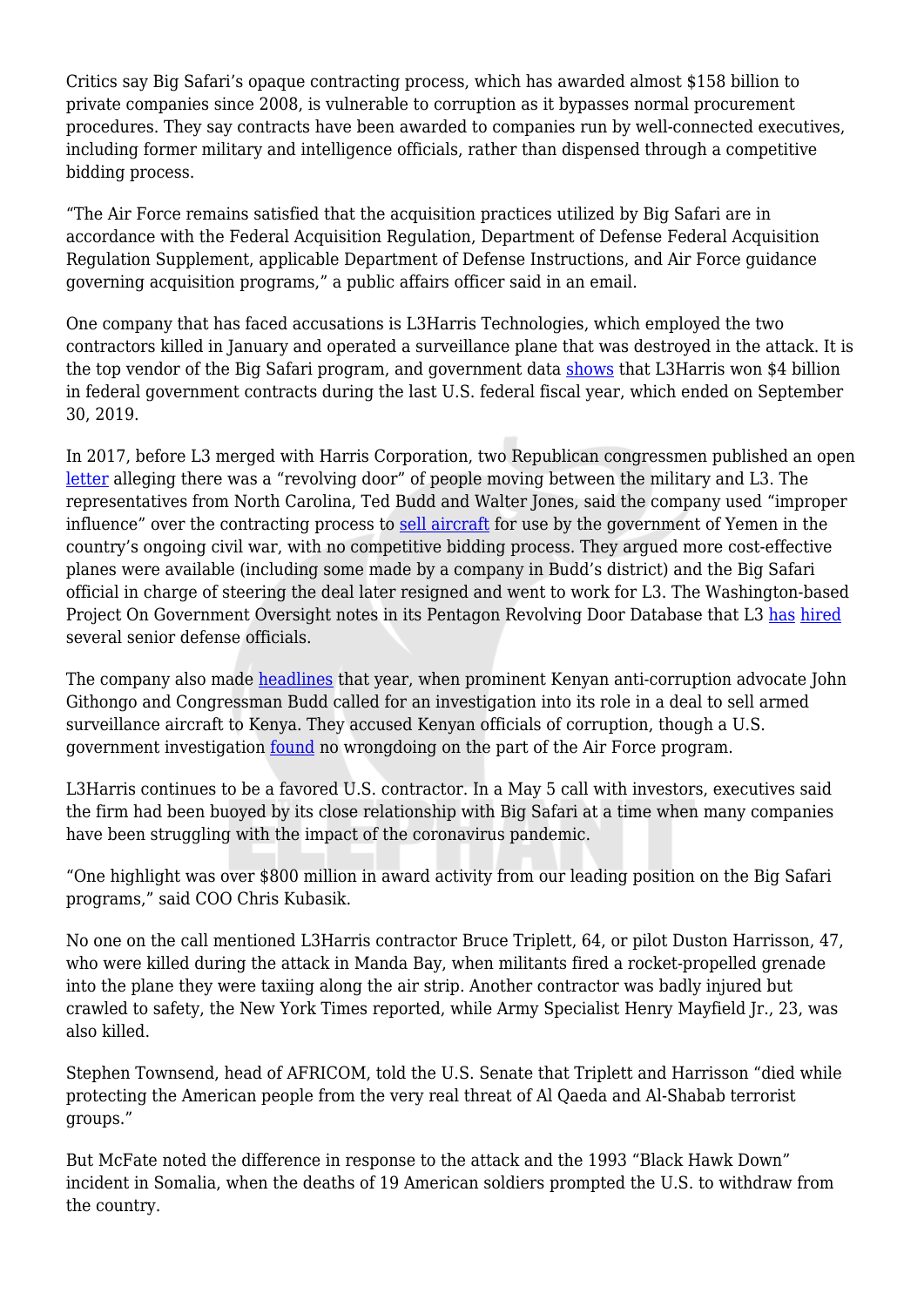Critics say Big Safari's opaque contracting process, which has awarded almost \$158 billion to private companies since 2008, is vulnerable to corruption as it bypasses normal procurement procedures. They say contracts have been awarded to companies run by well-connected executives, including former military and intelligence officials, rather than dispensed through a competitive bidding process.

"The Air Force remains satisfied that the acquisition practices utilized by Big Safari are in accordance with the Federal Acquisition Regulation, Department of Defense Federal Acquisition Regulation Supplement, applicable Department of Defense Instructions, and Air Force guidance governing acquisition programs," a public affairs officer said in an email.

One company that has faced accusations is L3Harris Technologies, which employed the two contractors killed in January and operated a surveillance plane that was destroyed in the attack. It is the top vendor of the Big Safari program, and government data [shows](https://www.usaspending.gov/#/recipient/1bf91306-8645-3872-dab6-db03538a334f-P/latest) that L3Harris won \$4 billion in federal government contracts during the last U.S. federal fiscal year, which ended on September 30, 2019.

In 2017, before L3 merged with Harris Corporation, two Republican congressmen published an open [letter](https://budd.house.gov/sites/budd.house.gov/files/letter_af.pdf) alleging there was a "revolving door" of people moving between the military and L3. The representatives from North Carolina, Ted Budd and Walter Jones, said the company used "improper influence" over the contracting process to [sell aircraft](https://www2.l3t.com/pid/pdf/pr/L-3_to_Support_U.S._Air_Force_Foreign_Military_Sales_Program_for_Yemen_ISR_Sep8_2014.pdf) for use by the government of Yemen in the country's ongoing civil war, with no competitive bidding process. They argued more cost-effective planes were available (including some made by a company in Budd's district) and the Big Safari official in charge of steering the deal later resigned and went to work for L3. The Washington-based Project On Government Oversight notes in its Pentagon Revolving Door Database that L3 [has](https://www.pogo.org/database/pentagon-revolving-door/companies/l3-technologies/) [hired](https://www.pogo.org/database/pentagon-revolving-door/companies/harris-corporation/) several senior defense officials.

The company also made [headlines](https://www.theeastafrican.co.ke/news/ea/Kenya-US-arms-deal-John-Githongo/4552908-3842962-format-xhtml-14pb8bh/index.html) that year, when prominent Kenyan anti-corruption advocate John Githongo and Congressman Budd called for an investigation into its role in a deal to sell armed surveillance aircraft to Kenya. They accused Kenyan officials of corruption, though a U.S. government investigation [found](https://www.gao.gov/assets/690/686932.pdf) no wrongdoing on the part of the Air Force program.

L3Harris continues to be a favored U.S. contractor. In a May 5 call with investors, executives said the firm had been buoyed by its close relationship with Big Safari at a time when many companies have been struggling with the impact of the coronavirus pandemic.

"One highlight was over \$800 million in award activity from our leading position on the Big Safari programs," said COO Chris Kubasik.

No one on the call mentioned L3Harris contractor Bruce Triplett, 64, or pilot Duston Harrisson, 47, who were killed during the attack in Manda Bay, when militants fired a rocket-propelled grenade into the plane they were taxiing along the air strip. Another contractor was badly injured but crawled to safety, the New York Times reported, while Army Specialist Henry Mayfield Jr., 23, was also killed.

Stephen Townsend, head of AFRICOM, told the U.S. Senate that Triplett and Harrisson "died while protecting the American people from the very real threat of Al Qaeda and Al-Shabab terrorist groups."

But McFate noted the difference in response to the attack and the 1993 "Black Hawk Down" incident in Somalia, when the deaths of 19 American soldiers prompted the U.S. to withdraw from the country.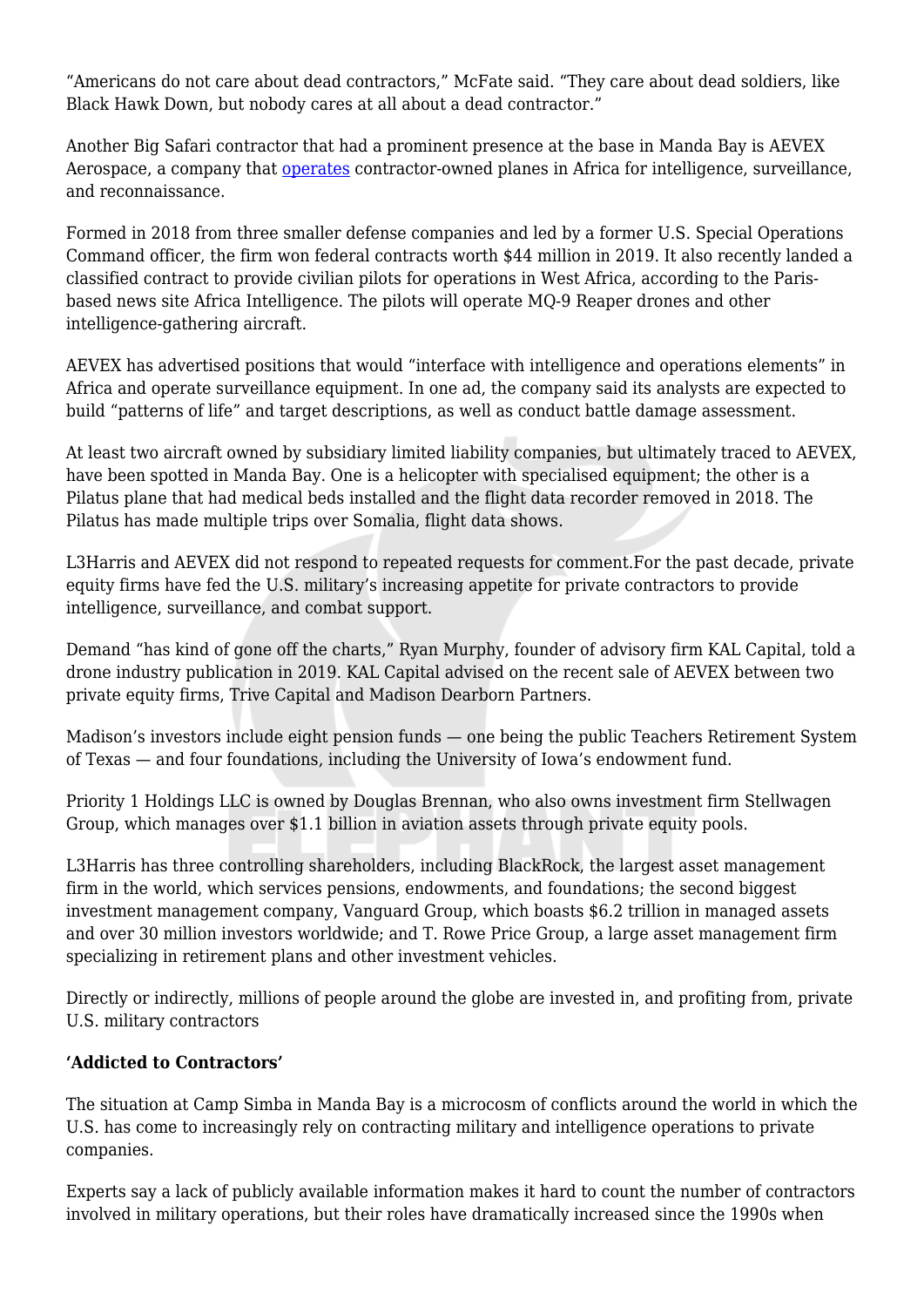"Americans do not care about dead contractors," McFate said. "They care about dead soldiers, like Black Hawk Down, but nobody cares at all about a dead contractor."

Another Big Safari contractor that had a prominent presence at the base in Manda Bay is AEVEX Aerospace, a company that [operates](https://www.aevex.com/flight-operations/operations/) contractor-owned planes in Africa for intelligence, surveillance, and reconnaissance.

Formed in 2018 from three smaller defense companies and led by a former U.S. Special Operations Command officer, the firm won federal contracts worth \$44 million in 2019. It also recently landed a classified contract to provide civilian pilots for operations in West Africa, according to the Parisbased news site Africa Intelligence. The pilots will operate MQ-9 Reaper drones and other intelligence-gathering aircraft.

AEVEX has advertised positions that would "interface with intelligence and operations elements" in Africa and operate surveillance equipment. In one ad, the company said its analysts are expected to build "patterns of life" and target descriptions, as well as conduct battle damage assessment.

At least two aircraft owned by subsidiary limited liability companies, but ultimately traced to AEVEX, have been spotted in Manda Bay. One is a helicopter with specialised equipment; the other is a Pilatus plane that had medical beds installed and the flight data recorder removed in 2018. The Pilatus has made multiple trips over Somalia, flight data shows.

L3Harris and AEVEX did not respond to repeated requests for comment.For the past decade, private equity firms have fed the U.S. military's increasing appetite for private contractors to provide intelligence, surveillance, and combat support.

Demand "has kind of gone off the charts," Ryan Murphy, founder of advisory firm KAL Capital, told a drone industry publication in 2019. KAL Capital advised on the recent sale of AEVEX between two private equity firms, Trive Capital and Madison Dearborn Partners.

Madison's investors include eight pension funds — one being the public Teachers Retirement System of Texas — and four foundations, including the University of Iowa's endowment fund.

Priority 1 Holdings LLC is owned by Douglas Brennan, who also owns investment firm Stellwagen Group, which manages over \$1.1 billion in aviation assets through private equity pools.

L3Harris has three controlling shareholders, including BlackRock, the largest asset management firm in the world, which services pensions, endowments, and foundations; the second biggest investment management company, Vanguard Group, which boasts \$6.2 trillion in managed assets and over 30 million investors worldwide; and T. Rowe Price Group, a large asset management firm specializing in retirement plans and other investment vehicles.

Directly or indirectly, millions of people around the globe are invested in, and profiting from, private U.S. military contractors

## **'Addicted to Contractors'**

The situation at Camp Simba in Manda Bay is a microcosm of conflicts around the world in which the U.S. has come to increasingly rely on contracting military and intelligence operations to private companies.

Experts say a lack of publicly available information makes it hard to count the number of contractors involved in military operations, but their roles have dramatically increased since the 1990s when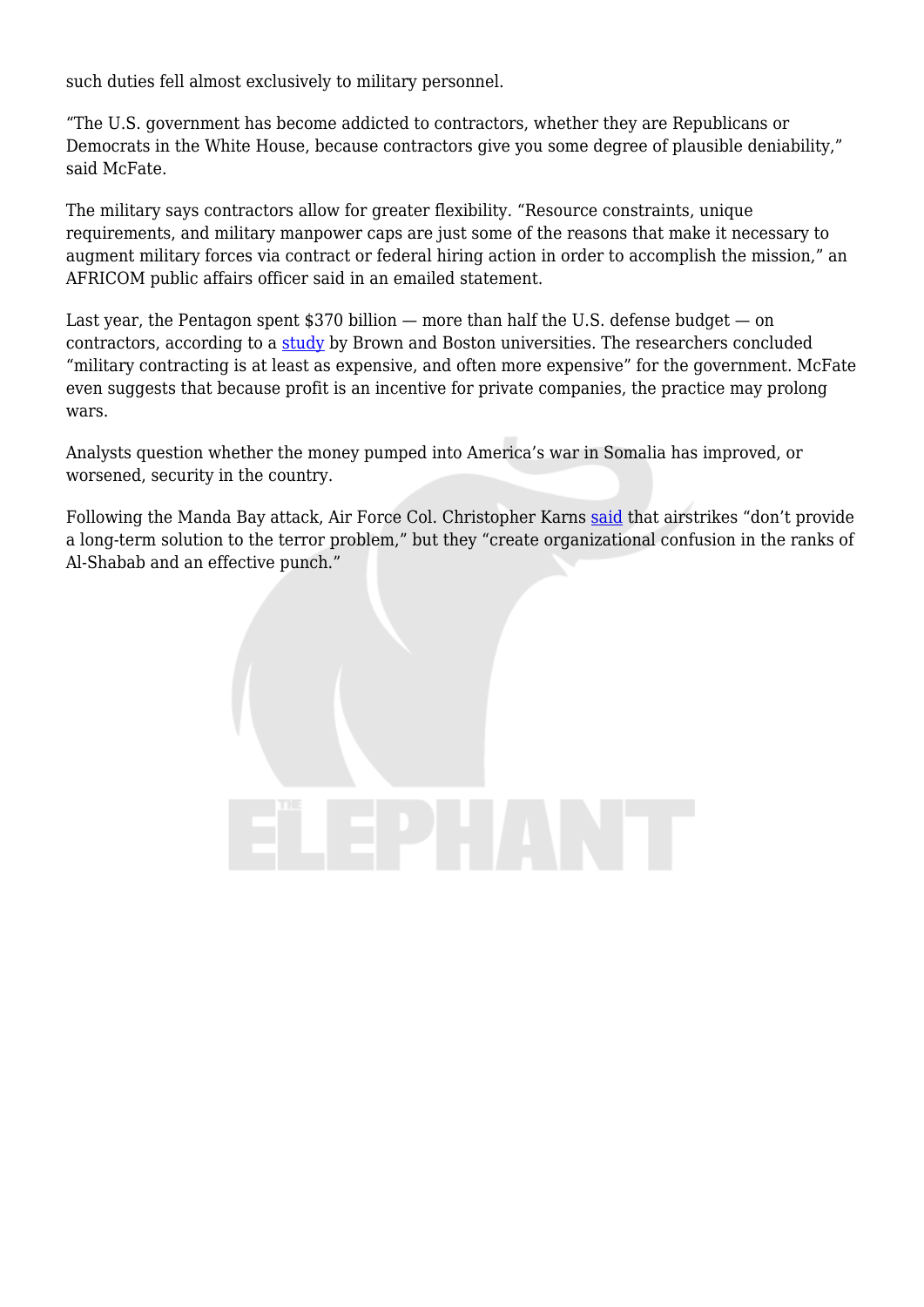such duties fell almost exclusively to military personnel.

"The U.S. government has become addicted to contractors, whether they are Republicans or Democrats in the White House, because contractors give you some degree of plausible deniability," said McFate.

The military says contractors allow for greater flexibility. "Resource constraints, unique requirements, and military manpower caps are just some of the reasons that make it necessary to augment military forces via contract or federal hiring action in order to accomplish the mission," an AFRICOM public affairs officer said in an emailed statement.

Last year, the Pentagon spent \$370 billion — more than half the U.S. defense budget — on contractors, according to a [study](https://watson.brown.edu/costsofwar/files/cow/imce/papers/2020/Peltier%202020%20-%20Growth%20of%20Camo%20Economy%20-%20June%2030%202020%20-%20FINAL.pdf) by Brown and Boston universities. The researchers concluded "military contracting is at least as expensive, and often more expensive" for the government. McFate even suggests that because profit is an incentive for private companies, the practice may prolong wars.

Analysts question whether the money pumped into America's war in Somalia has improved, or worsened, security in the country.

Following the Manda Bay attack, Air Force Col. Christopher Karns [said](https://www.militarytimes.com/opinion/2020/01/13/opinion-lies-truths-and-the-value-of-punching-back-against-al-shabab/) that airstrikes "don't provide a long-term solution to the terror problem," but they "create organizational confusion in the ranks of Al-Shabab and an effective punch."

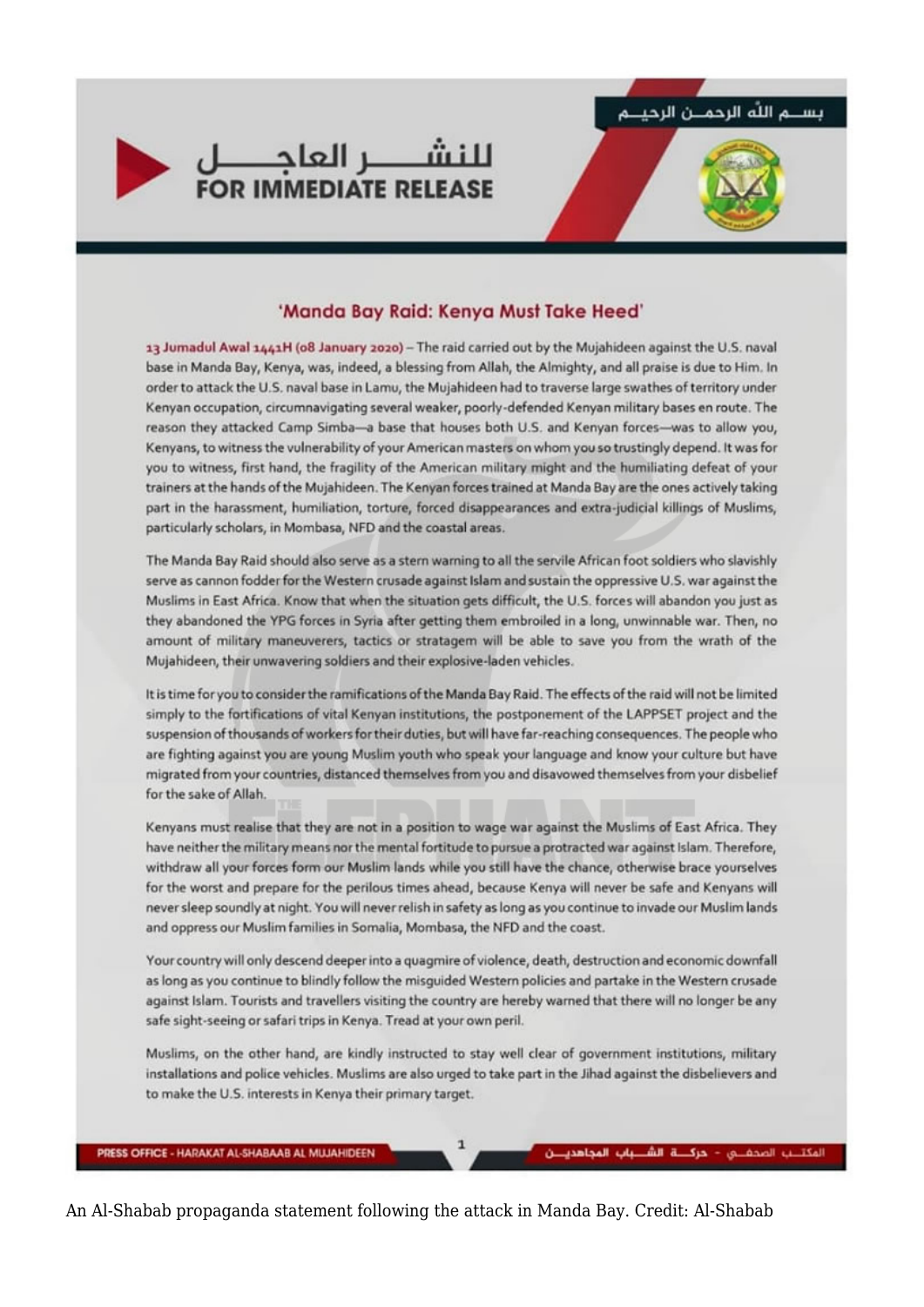

المكتلب المحفلي - حركلة الشلبياب المجاهدين



#### 'Manda Bay Raid: Kenya Must Take Heed'

13 Jumadul Awal 1441H (o8 January 2020) - The raid carried out by the Mujahideen against the U.S. naval base in Manda Bay, Kenya, was, indeed, a blessing from Allah, the Almighty, and all praise is due to Him. In order to attack the U.S. naval base in Lamu, the Mujahideen had to traverse large swathes of territory under Kenyan occupation, circumnavigating several weaker, poorly-defended Kenyan military bases en route. The reason they attacked Camp Simba-a base that houses both U.S. and Kenyan forces-was to allow you, Kenyans, to witness the vulnerability of your American masters on whom you so trustingly depend. It was for you to witness, first hand, the fragility of the American military might and the humiliating defeat of your trainers at the hands of the Mujahideen. The Kenyan forces trained at Manda Bay are the ones actively taking part in the harassment, humiliation, torture, forced disappearances and extra-judicial killings of Muslims, particularly scholars, in Mombasa, NFD and the coastal areas.

The Manda Bay Raid should also serve as a stern warning to all the servile African foot soldiers who slavishly serve as cannon fodder for the Western crusade against Islam and sustain the oppressive U.S. war against the Muslims in East Africa. Know that when the situation gets difficult, the U.S. forces will abandon you just as they abandoned the YPG forces in Syria after getting them embroiled in a long, unwinnable war. Then, no amount of military maneuverers, tactics or stratagem will be able to save you from the wrath of the Mujahideen, their unwavering soldiers and their explosive-laden vehicles.

It is time for you to consider the ramifications of the Manda Bay Raid. The effects of the raid will not be limited simply to the fortifications of vital Kenyan institutions, the postponement of the LAPPSET project and the suspension of thousands of workers for their duties, but will have far-reaching consequences. The people who are fighting against you are young Muslim youth who speak your language and know your culture but have migrated from your countries, distanced themselves from you and disavowed themselves from your disbelief for the sake of Allah.

Kenyans must realise that they are not in a position to wage war against the Muslims of East Africa. They have neither the military means nor the mental fortitude to pursue a protracted war against Islam. Therefore, withdraw all your forces form our Muslim lands while you still have the chance, otherwise brace yourselves for the worst and prepare for the perilous times ahead, because Kenya will never be safe and Kenyans will never sleep soundly at night. You will never relish in safety as long as you continue to invade our Muslim lands and oppress our Muslim families in Somalia, Mombasa, the NFD and the coast.

Your country will only descend deeper into a quagmire of violence, death, destruction and economic downfall as long as you continue to blindly follow the misquided Western policies and partake in the Western crusade against Islam. Tourists and travellers visiting the country are hereby warned that there will no longer be any safe sight-seeing or safari trips in Kenya. Tread at your own peril.

Muslims, on the other hand, are kindly instructed to stay well clear of government institutions, military installations and police vehicles. Muslims are also urged to take part in the Jihad against the disbelievers and to make the U.S. interests in Kenya their primary target.

PRESS OFFICE - HARAKAT AL-SHABAAB AL MUJAHIDEEN

An Al-Shabab propaganda statement following the attack in Manda Bay. Credit: Al-Shabab